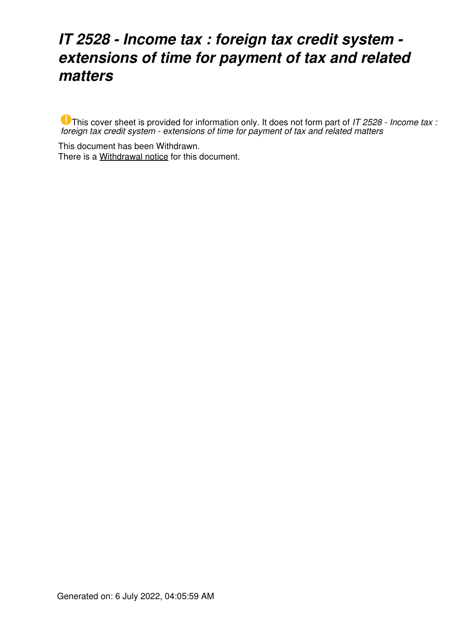## *IT 2528 - Income tax : foreign tax credit system extensions of time for payment of tax and related matters*

This cover sheet is provided for information only. It does not form part of *IT 2528 - Income tax : foreign tax credit system - extensions of time for payment of tax and related matters*

This document has been Withdrawn. There is a [Withdrawal notice](https://www.ato.gov.au/law/view/document?LocID=%22ITR%2FIT2528W%2FNAT%2FATO%2F00001%22&PiT=20200507000001) for this document.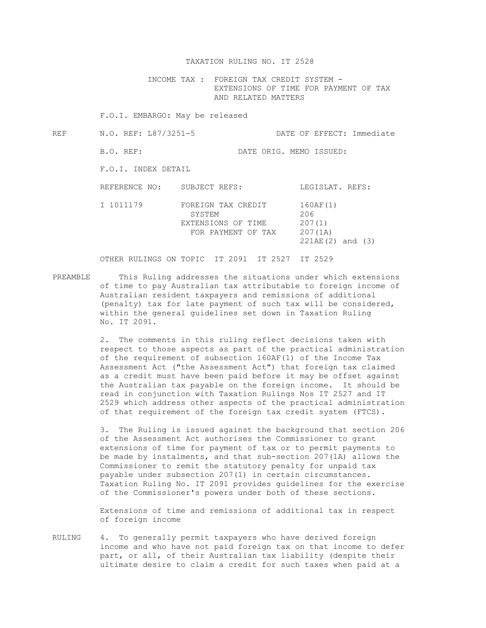## TAXATION RULING NO. IT 2528

 INCOME TAX : FOREIGN TAX CREDIT SYSTEM - EXTENSIONS OF TIME FOR PAYMENT OF TAX AND RELATED MATTERS

F.O.I. EMBARGO: May be released

REF N.O. REF: L87/3251-5 DATE OF EFFECT: Immediate B.O. REF: DATE ORIG. MEMO ISSUED: F.O.I. INDEX DETAIL

REFERENCE NO: SUBJECT REFS: LEGISLAT. REFS: I 1011179 FOREIGN TAX CREDIT 160AF(1) SYSTEM 206 EXTENSIONS OF TIME 207(1) FOR PAYMENT OF TAX 207(1A) 221AE(2) and (3)

OTHER RULINGS ON TOPIC IT 2091 IT 2527 IT 2529

PREAMBLE This Ruling addresses the situations under which extensions of time to pay Australian tax attributable to foreign income of Australian resident taxpayers and remissions of additional (penalty) tax for late payment of such tax will be considered, within the general guidelines set down in Taxation Ruling No. IT 2091.

> 2. The comments in this ruling reflect decisions taken with respect to those aspects as part of the practical administration of the requirement of subsection 160AF(1) of the Income Tax Assessment Act ("the Assessment Act") that foreign tax claimed as a credit must have been paid before it may be offset against the Australian tax payable on the foreign income. It should be read in conjunction with Taxation Rulings Nos IT 2527 and IT 2529 which address other aspects of the practical administration of that requirement of the foreign tax credit system (FTCS).

> 3. The Ruling is issued against the background that section 206 of the Assessment Act authorises the Commissioner to grant extensions of time for payment of tax or to permit payments to be made by instalments, and that sub-section 207(1A) allows the Commissioner to remit the statutory penalty for unpaid tax payable under subsection 207(1) in certain circumstances. Taxation Ruling No. IT 2091 provides guidelines for the exercise of the Commissioner's powers under both of these sections.

 Extensions of time and remissions of additional tax in respect of foreign income

RULING 4. To generally permit taxpayers who have derived foreign income and who have not paid foreign tax on that income to defer part, or all, of their Australian tax liability (despite their ultimate desire to claim a credit for such taxes when paid at a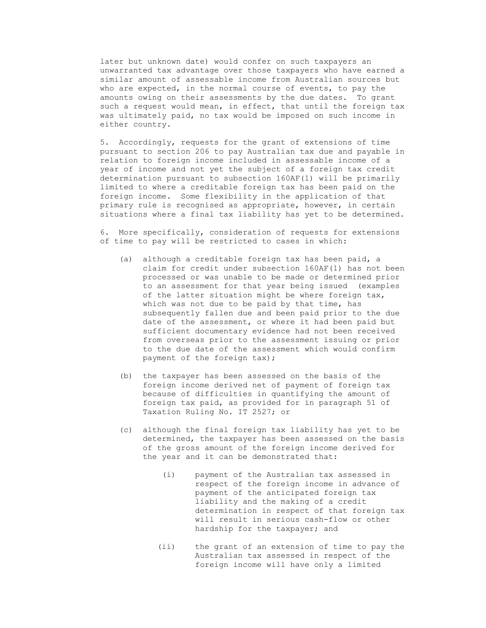later but unknown date) would confer on such taxpayers an unwarranted tax advantage over those taxpayers who have earned a similar amount of assessable income from Australian sources but who are expected, in the normal course of events, to pay the amounts owing on their assessments by the due dates. To grant such a request would mean, in effect, that until the foreign tax was ultimately paid, no tax would be imposed on such income in either country.

 5. Accordingly, requests for the grant of extensions of time pursuant to section 206 to pay Australian tax due and payable in relation to foreign income included in assessable income of a year of income and not yet the subject of a foreign tax credit determination pursuant to subsection 160AF(1) will be primarily limited to where a creditable foreign tax has been paid on the foreign income. Some flexibility in the application of that primary rule is recognised as appropriate, however, in certain situations where a final tax liability has yet to be determined.

 6. More specifically, consideration of requests for extensions of time to pay will be restricted to cases in which:

- (a) although a creditable foreign tax has been paid, a claim for credit under subsection 160AF(1) has not been processed or was unable to be made or determined prior to an assessment for that year being issued (examples of the latter situation might be where foreign tax, which was not due to be paid by that time, has subsequently fallen due and been paid prior to the due date of the assessment, or where it had been paid but sufficient documentary evidence had not been received from overseas prior to the assessment issuing or prior to the due date of the assessment which would confirm payment of the foreign tax);
- (b) the taxpayer has been assessed on the basis of the foreign income derived net of payment of foreign tax because of difficulties in quantifying the amount of foreign tax paid, as provided for in paragraph 51 of Taxation Ruling No. IT 2527; or
- (c) although the final foreign tax liability has yet to be determined, the taxpayer has been assessed on the basis of the gross amount of the foreign income derived for the year and it can be demonstrated that:
	- (i) payment of the Australian tax assessed in respect of the foreign income in advance of payment of the anticipated foreign tax liability and the making of a credit determination in respect of that foreign tax will result in serious cash-flow or other hardship for the taxpayer; and
	- (ii) the grant of an extension of time to pay the Australian tax assessed in respect of the foreign income will have only a limited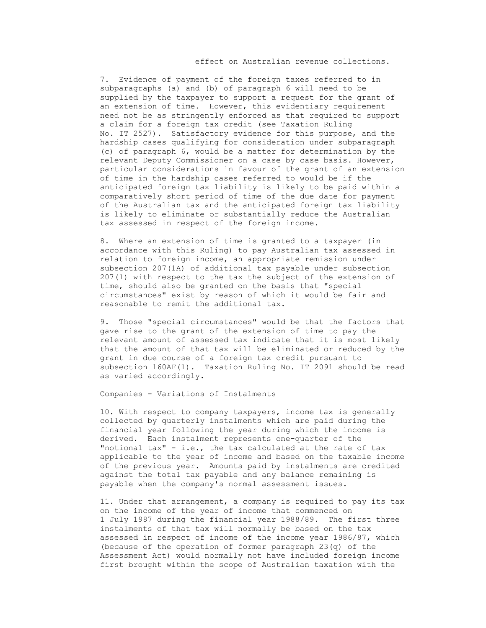## effect on Australian revenue collections.

 7. Evidence of payment of the foreign taxes referred to in subparagraphs (a) and (b) of paragraph 6 will need to be supplied by the taxpayer to support a request for the grant of an extension of time. However, this evidentiary requirement need not be as stringently enforced as that required to support a claim for a foreign tax credit (see Taxation Ruling No. IT 2527). Satisfactory evidence for this purpose, and the hardship cases qualifying for consideration under subparagraph (c) of paragraph 6, would be a matter for determination by the relevant Deputy Commissioner on a case by case basis. However, particular considerations in favour of the grant of an extension of time in the hardship cases referred to would be if the anticipated foreign tax liability is likely to be paid within a comparatively short period of time of the due date for payment of the Australian tax and the anticipated foreign tax liability is likely to eliminate or substantially reduce the Australian tax assessed in respect of the foreign income.

 8. Where an extension of time is granted to a taxpayer (in accordance with this Ruling) to pay Australian tax assessed in relation to foreign income, an appropriate remission under subsection 207(1A) of additional tax payable under subsection 207(1) with respect to the tax the subject of the extension of time, should also be granted on the basis that "special circumstances" exist by reason of which it would be fair and reasonable to remit the additional tax.

 9. Those "special circumstances" would be that the factors that gave rise to the grant of the extension of time to pay the relevant amount of assessed tax indicate that it is most likely that the amount of that tax will be eliminated or reduced by the grant in due course of a foreign tax credit pursuant to subsection 160AF(1). Taxation Ruling No. IT 2091 should be read as varied accordingly.

Companies - Variations of Instalments

 10. With respect to company taxpayers, income tax is generally collected by quarterly instalments which are paid during the financial year following the year during which the income is derived. Each instalment represents one-quarter of the "notional tax" - i.e., the tax calculated at the rate of tax applicable to the year of income and based on the taxable income of the previous year. Amounts paid by instalments are credited against the total tax payable and any balance remaining is payable when the company's normal assessment issues.

 11. Under that arrangement, a company is required to pay its tax on the income of the year of income that commenced on 1 July 1987 during the financial year 1988/89. The first three instalments of that tax will normally be based on the tax assessed in respect of income of the income year 1986/87, which (because of the operation of former paragraph 23(q) of the Assessment Act) would normally not have included foreign income first brought within the scope of Australian taxation with the